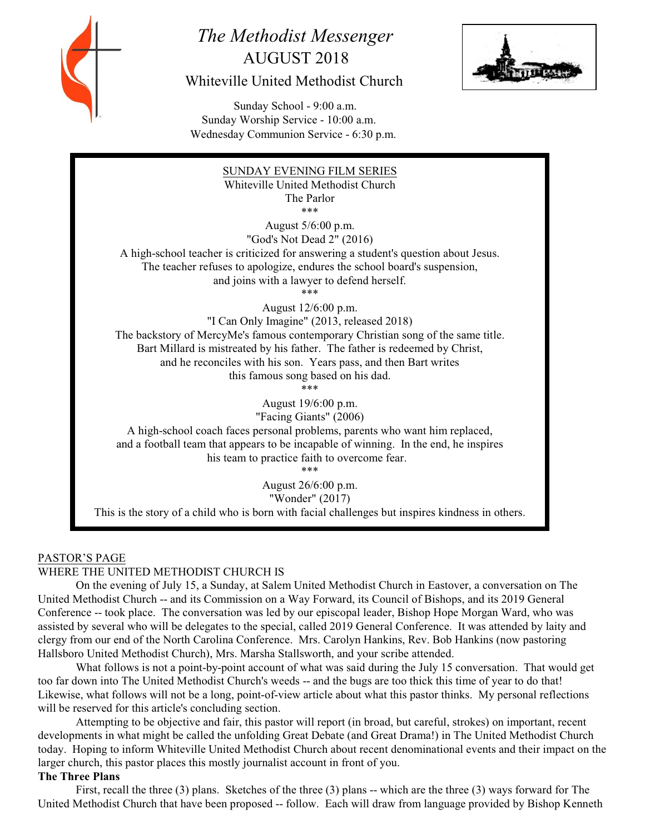

# *The Methodist Messenger* AUGUST 2018 Whiteville United Methodist Church



 Sunday School - 9:00 a.m. Sunday Worship Service - 10:00 a.m. Wednesday Communion Service - 6:30 p.m.

## SUNDAY EVENING FILM SERIES

Whiteville United Methodist Church The Parlor \*\*\*

> August 5/6:00 p.m. "God's Not Dead 2" (2016)

A high-school teacher is criticized for answering a student's question about Jesus. The teacher refuses to apologize, endures the school board's suspension, and joins with a lawyer to defend herself.

\*\*\*

August 12/6:00 p.m.

"I Can Only Imagine" (2013, released 2018) The backstory of MercyMe's famous contemporary Christian song of the same title. Bart Millard is mistreated by his father. The father is redeemed by Christ, and he reconciles with his son. Years pass, and then Bart writes this famous song based on his dad. \*\*\*

August 19/6:00 p.m.

"Facing Giants" (2006)

A high-school coach faces personal problems, parents who want him replaced, and a football team that appears to be incapable of winning. In the end, he inspires his team to practice faith to overcome fear.

\*\*\*

August 26/6:00 p.m. "Wonder" (2017)

This is the story of a child who is born with facial challenges but inspires kindness in others.

#### PASTOR'S PAGE

#### WHERE THE UNITED METHODIST CHURCH IS

On the evening of July 15, a Sunday, at Salem United Methodist Church in Eastover, a conversation on The United Methodist Church -- and its Commission on a Way Forward, its Council of Bishops, and its 2019 General Conference -- took place. The conversation was led by our episcopal leader, Bishop Hope Morgan Ward, who was assisted by several who will be delegates to the special, called 2019 General Conference. It was attended by laity and clergy from our end of the North Carolina Conference. Mrs. Carolyn Hankins, Rev. Bob Hankins (now pastoring Hallsboro United Methodist Church), Mrs. Marsha Stallsworth, and your scribe attended.

What follows is not a point-by-point account of what was said during the July 15 conversation. That would get too far down into The United Methodist Church's weeds -- and the bugs are too thick this time of year to do that! Likewise, what follows will not be a long, point-of-view article about what this pastor thinks. My personal reflections will be reserved for this article's concluding section.

Attempting to be objective and fair, this pastor will report (in broad, but careful, strokes) on important, recent developments in what might be called the unfolding Great Debate (and Great Drama!) in The United Methodist Church today. Hoping to inform Whiteville United Methodist Church about recent denominational events and their impact on the larger church, this pastor places this mostly journalist account in front of you.

#### **The Three Plans**

First, recall the three (3) plans. Sketches of the three (3) plans -- which are the three (3) ways forward for The United Methodist Church that have been proposed -- follow. Each will draw from language provided by Bishop Kenneth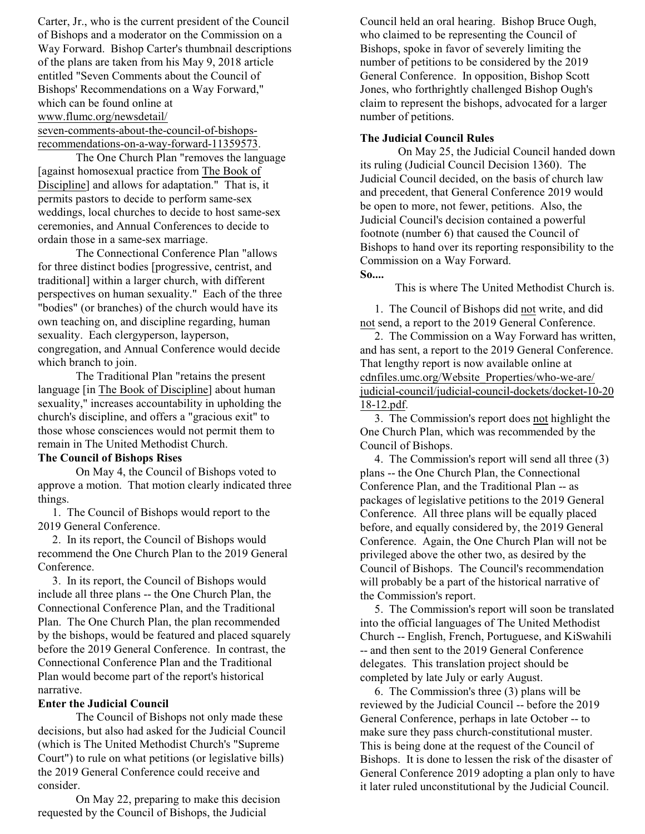Carter, Jr., who is the current president of the Council of Bishops and a moderator on the Commission on a Way Forward. Bishop Carter's thumbnail descriptions of the plans are taken from his May 9, 2018 article entitled "Seven Comments about the Council of Bishops' Recommendations on a Way Forward," which can be found online at www.flumc.org/newsdetail/ seven-comments-about-the-council-of-bishopsrecommendations-on-a-way-forward-11359573.

The One Church Plan "removes the language [against homosexual practice from The Book of Discipline] and allows for adaptation." That is, it permits pastors to decide to perform same-sex weddings, local churches to decide to host same-sex ceremonies, and Annual Conferences to decide to ordain those in a same-sex marriage.

The Connectional Conference Plan "allows for three distinct bodies [progressive, centrist, and traditional] within a larger church, with different perspectives on human sexuality." Each of the three "bodies" (or branches) of the church would have its own teaching on, and discipline regarding, human sexuality. Each clergyperson, layperson, congregation, and Annual Conference would decide which branch to join.

The Traditional Plan "retains the present language [in The Book of Discipline] about human sexuality," increases accountability in upholding the church's discipline, and offers a "gracious exit" to those whose consciences would not permit them to remain in The United Methodist Church.

#### **The Council of Bishops Rises**

On May 4, the Council of Bishops voted to approve a motion. That motion clearly indicated three things.

 1. The Council of Bishops would report to the 2019 General Conference.

 2. In its report, the Council of Bishops would recommend the One Church Plan to the 2019 General Conference.

 3. In its report, the Council of Bishops would include all three plans -- the One Church Plan, the Connectional Conference Plan, and the Traditional Plan. The One Church Plan, the plan recommended by the bishops, would be featured and placed squarely before the 2019 General Conference. In contrast, the Connectional Conference Plan and the Traditional Plan would become part of the report's historical narrative.

#### **Enter the Judicial Council**

The Council of Bishops not only made these decisions, but also had asked for the Judicial Council (which is The United Methodist Church's "Supreme Court") to rule on what petitions (or legislative bills) the 2019 General Conference could receive and consider.

On May 22, preparing to make this decision requested by the Council of Bishops, the Judicial

Council held an oral hearing. Bishop Bruce Ough, who claimed to be representing the Council of Bishops, spoke in favor of severely limiting the number of petitions to be considered by the 2019 General Conference. In opposition, Bishop Scott Jones, who forthrightly challenged Bishop Ough's claim to represent the bishops, advocated for a larger number of petitions.

#### **The Judicial Council Rules**

On May 25, the Judicial Council handed down its ruling (Judicial Council Decision 1360). The Judicial Council decided, on the basis of church law and precedent, that General Conference 2019 would be open to more, not fewer, petitions. Also, the Judicial Council's decision contained a powerful footnote (number 6) that caused the Council of Bishops to hand over its reporting responsibility to the Commission on a Way Forward.

**So....**

This is where The United Methodist Church is.

 1. The Council of Bishops did not write, and did not send, a report to the 2019 General Conference.

 2. The Commission on a Way Forward has written, and has sent, a report to the 2019 General Conference. That lengthy report is now available online at cdnfiles.umc.org/Website\_Properties/who-we-are/ judicial-council/judicial-council-dockets/docket-10-20 18-12.pdf.

 3. The Commission's report does not highlight the One Church Plan, which was recommended by the Council of Bishops.

 4. The Commission's report will send all three (3) plans -- the One Church Plan, the Connectional Conference Plan, and the Traditional Plan -- as packages of legislative petitions to the 2019 General Conference. All three plans will be equally placed before, and equally considered by, the 2019 General Conference. Again, the One Church Plan will not be privileged above the other two, as desired by the Council of Bishops. The Council's recommendation will probably be a part of the historical narrative of the Commission's report.

 5. The Commission's report will soon be translated into the official languages of The United Methodist Church -- English, French, Portuguese, and KiSwahili -- and then sent to the 2019 General Conference delegates. This translation project should be completed by late July or early August.

 6. The Commission's three (3) plans will be reviewed by the Judicial Council -- before the 2019 General Conference, perhaps in late October -- to make sure they pass church-constitutional muster. This is being done at the request of the Council of Bishops. It is done to lessen the risk of the disaster of General Conference 2019 adopting a plan only to have it later ruled unconstitutional by the Judicial Council.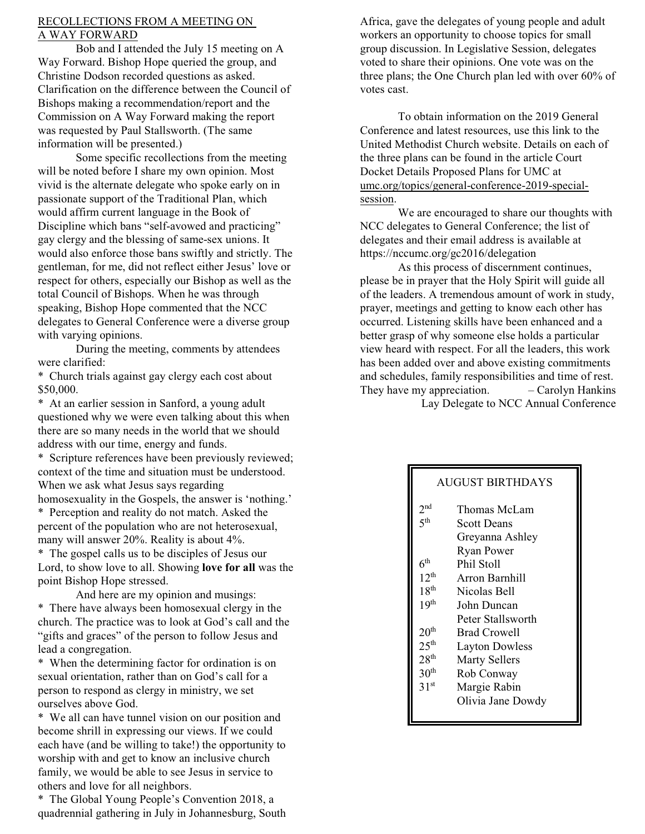#### RECOLLECTIONS FROM A MEETING ON A WAY FORWARD

Bob and I attended the July 15 meeting on A Way Forward. Bishop Hope queried the group, and Christine Dodson recorded questions as asked. Clarification on the difference between the Council of Bishops making a recommendation/report and the Commission on A Way Forward making the report was requested by Paul Stallsworth. (The same information will be presented.)

Some specific recollections from the meeting will be noted before I share my own opinion. Most vivid is the alternate delegate who spoke early on in passionate support of the Traditional Plan, which would affirm current language in the Book of Discipline which bans "self-avowed and practicing" gay clergy and the blessing of same-sex unions. It would also enforce those bans swiftly and strictly. The gentleman, for me, did not reflect either Jesus' love or respect for others, especially our Bishop as well as the total Council of Bishops. When he was through speaking, Bishop Hope commented that the NCC delegates to General Conference were a diverse group with varying opinions.

During the meeting, comments by attendees were clarified:

\* Church trials against gay clergy each cost about \$50,000.

\* At an earlier session in Sanford, a young adult questioned why we were even talking about this when there are so many needs in the world that we should address with our time, energy and funds.

\* Scripture references have been previously reviewed; context of the time and situation must be understood. When we ask what Jesus says regarding

homosexuality in the Gospels, the answer is 'nothing.' \* Perception and reality do not match. Asked the percent of the population who are not heterosexual,

many will answer 20%. Reality is about 4%. \* The gospel calls us to be disciples of Jesus our

Lord, to show love to all. Showing **love for all** was the point Bishop Hope stressed.

And here are my opinion and musings: \* There have always been homosexual clergy in the church. The practice was to look at God's call and the "gifts and graces" of the person to follow Jesus and lead a congregation.

\* When the determining factor for ordination is on sexual orientation, rather than on God's call for a person to respond as clergy in ministry, we set ourselves above God.

\* We all can have tunnel vision on our position and become shrill in expressing our views. If we could each have (and be willing to take!) the opportunity to worship with and get to know an inclusive church family, we would be able to see Jesus in service to others and love for all neighbors.

\* The Global Young People's Convention 2018, a quadrennial gathering in July in Johannesburg, South

Africa, gave the delegates of young people and adult workers an opportunity to choose topics for small group discussion. In Legislative Session, delegates voted to share their opinions. One vote was on the three plans; the One Church plan led with over 60% of votes cast.

To obtain information on the 2019 General Conference and latest resources, use this link to the United Methodist Church website. Details on each of the three plans can be found in the article Court Docket Details Proposed Plans for UMC at umc.org/topics/general-conference-2019-specialsession.

We are encouraged to share our thoughts with NCC delegates to General Conference; the list of delegates and their email address is available at https://nccumc.org/gc2016/delegation

As this process of discernment continues, please be in prayer that the Holy Spirit will guide all of the leaders. A tremendous amount of work in study, prayer, meetings and getting to know each other has occurred. Listening skills have been enhanced and a better grasp of why someone else holds a particular view heard with respect. For all the leaders, this work has been added over and above existing commitments and schedules, family responsibilities and time of rest. They have my appreciation.  $\qquad -$  Carolyn Hankins

Lay Delegate to NCC Annual Conference

### AUGUST BIRTHDAYS

| $\gamma$ nd | Thomas McLam |
|-------------|--------------|
|             |              |

- $5<sup>th</sup>$  Scott Deans
- Greyanna Ashley
- Ryan Power
- $6<sup>th</sup>$  Phil Stoll
- $12^{th}$  Arron Barnhill<br> $18^{th}$  Nicolas Bell  $12<sup>th</sup>$
- Nicolas Bell
- John Duncan  $19<sup>th</sup>$ 
	- Peter Stallsworth
- $20^{th}$  Brad Crowell<br> $25^{th}$  Lavton Dowle  $20<sup>th</sup>$
- Layton Dowless
- $28<sup>th</sup>$  Marty Sellers<br>30<sup>th</sup> Rob Conway  $28<sup>th</sup>$
- Rob Conway
- Margie Rabin  $31<sup>st</sup>$ 
	- Olivia Jane Dowdy